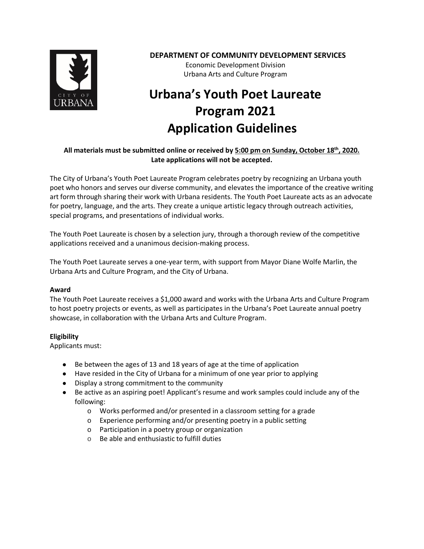

## **DEPARTMENT OF COMMUNITY DEVELOPMENT SERVICES**

Economic Development Division Urbana Arts and Culture Program

# **Urbana's Youth Poet Laureate Program 2021 Application Guidelines**

## **All materials must be submitted online or received by 5:00 pm on Sunday, October 18th, 2020. Late applications will not be accepted.**

The City of Urbana's Youth Poet Laureate Program celebrates poetry by recognizing an Urbana youth poet who honors and serves our diverse community, and elevates the importance of the creative writing art form through sharing their work with Urbana residents. The Youth Poet Laureate acts as an advocate for poetry, language, and the arts. They create a unique artistic legacy through outreach activities, special programs, and presentations of individual works.

The Youth Poet Laureate is chosen by a selection jury, through a thorough review of the competitive applications received and a unanimous decision-making process.

The Youth Poet Laureate serves a one-year term, with support from Mayor Diane Wolfe Marlin, the Urbana Arts and Culture Program, and the City of Urbana.

## **Award**

The Youth Poet Laureate receives a \$1,000 award and works with the Urbana Arts and Culture Program to host poetry projects or events, as well as participates in the Urbana's Poet Laureate annual poetry showcase, in collaboration with the Urbana Arts and Culture Program.

## **Eligibility**

Applicants must:

- Be between the ages of 13 and 18 years of age at the time of application
- Have resided in the City of Urbana for a minimum of one year prior to applying
- Display a strong commitment to the community
- Be active as an aspiring poet! Applicant's resume and work samples could include any of the following:
	- o Works performed and/or presented in a classroom setting for a grade
	- o Experience performing and/or presenting poetry in a public setting
	- o Participation in a poetry group or organization
	- o Be able and enthusiastic to fulfill duties